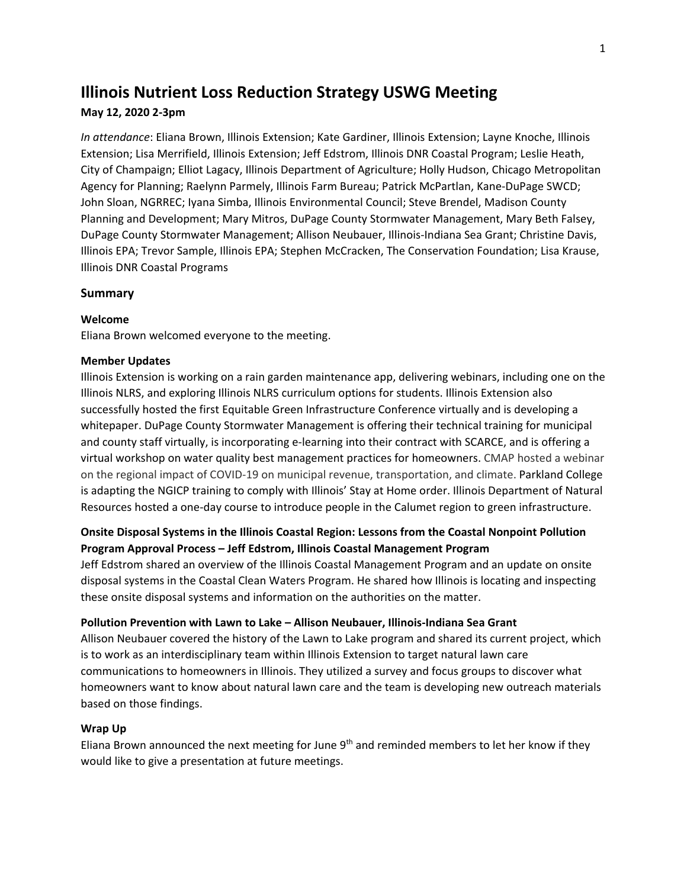# **Illinois Nutrient Loss Reduction Strategy USWG Meeting**

# **May 12, 2020 2-3pm**

*In attendance*: Eliana Brown, Illinois Extension; Kate Gardiner, Illinois Extension; Layne Knoche, Illinois Extension; Lisa Merrifield, Illinois Extension; Jeff Edstrom, Illinois DNR Coastal Program; Leslie Heath, City of Champaign; Elliot Lagacy, Illinois Department of Agriculture; Holly Hudson, Chicago Metropolitan Agency for Planning; Raelynn Parmely, Illinois Farm Bureau; Patrick McPartlan, Kane-DuPage SWCD; John Sloan, NGRREC; Iyana Simba, Illinois Environmental Council; Steve Brendel, Madison County Planning and Development; Mary Mitros, DuPage County Stormwater Management, Mary Beth Falsey, DuPage County Stormwater Management; Allison Neubauer, Illinois-Indiana Sea Grant; Christine Davis, Illinois EPA; Trevor Sample, Illinois EPA; Stephen McCracken, The Conservation Foundation; Lisa Krause, Illinois DNR Coastal Programs

# **Summary**

# **Welcome**

Eliana Brown welcomed everyone to the meeting.

# **Member Updates**

Illinois Extension is working on a rain garden maintenance app, delivering webinars, including one on the Illinois NLRS, and exploring Illinois NLRS curriculum options for students. Illinois Extension also successfully hosted the first Equitable Green Infrastructure Conference virtually and is developing a whitepaper. DuPage County Stormwater Management is offering their technical training for municipal and county staff virtually, is incorporating e-learning into their contract with SCARCE, and is offering a virtual workshop on water quality best management practices for homeowners. CMAP hosted a webinar on the regional impact of COVID-19 on municipal revenue, transportation, and climate. Parkland College is adapting the NGICP training to comply with Illinois' Stay at Home order. Illinois Department of Natural Resources hosted a one-day course to introduce people in the Calumet region to green infrastructure.

# **Onsite Disposal Systems in the Illinois Coastal Region: Lessons from the Coastal Nonpoint Pollution Program Approval Process – Jeff Edstrom, Illinois Coastal Management Program**

Jeff Edstrom shared an overview of the Illinois Coastal Management Program and an update on onsite disposal systems in the Coastal Clean Waters Program. He shared how Illinois is locating and inspecting these onsite disposal systems and information on the authorities on the matter.

# **Pollution Prevention with Lawn to Lake – Allison Neubauer, Illinois-Indiana Sea Grant**

Allison Neubauer covered the history of the Lawn to Lake program and shared its current project, which is to work as an interdisciplinary team within Illinois Extension to target natural lawn care communications to homeowners in Illinois. They utilized a survey and focus groups to discover what homeowners want to know about natural lawn care and the team is developing new outreach materials based on those findings.

# **Wrap Up**

Eliana Brown announced the next meeting for June  $9<sup>th</sup>$  and reminded members to let her know if they would like to give a presentation at future meetings.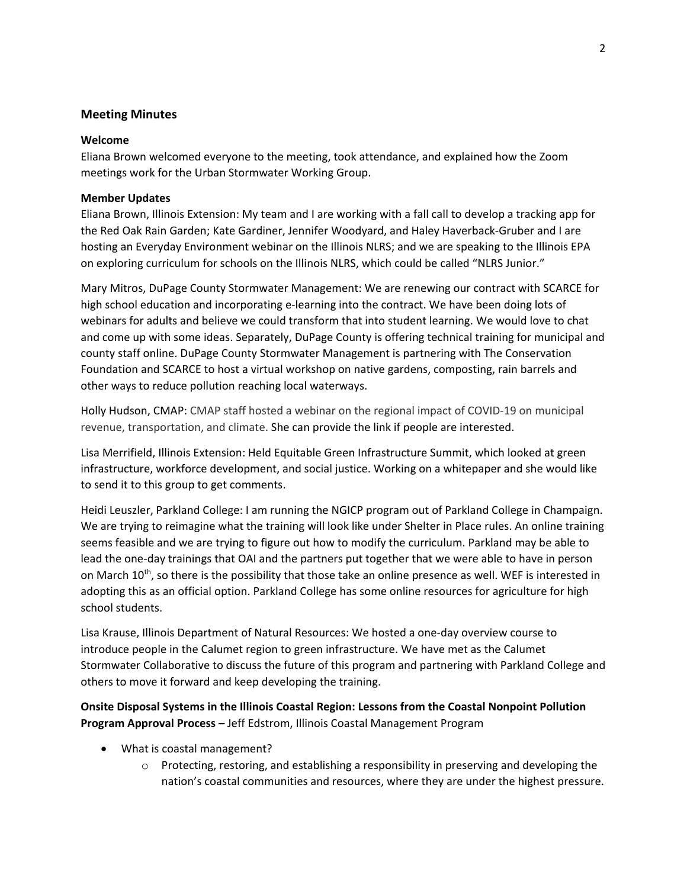# **Meeting Minutes**

#### **Welcome**

Eliana Brown welcomed everyone to the meeting, took attendance, and explained how the Zoom meetings work for the Urban Stormwater Working Group.

#### **Member Updates**

Eliana Brown, Illinois Extension: My team and I are working with a fall call to develop a tracking app for the Red Oak Rain Garden; Kate Gardiner, Jennifer Woodyard, and Haley Haverback-Gruber and I are hosting an Everyday Environment webinar on the Illinois NLRS; and we are speaking to the Illinois EPA on exploring curriculum for schools on the Illinois NLRS, which could be called "NLRS Junior."

Mary Mitros, DuPage County Stormwater Management: We are renewing our contract with SCARCE for high school education and incorporating e-learning into the contract. We have been doing lots of webinars for adults and believe we could transform that into student learning. We would love to chat and come up with some ideas. Separately, DuPage County is offering technical training for municipal and county staff online. DuPage County Stormwater Management is partnering with The Conservation Foundation and SCARCE to host a virtual workshop on native gardens, composting, rain barrels and other ways to reduce pollution reaching local waterways.

Holly Hudson, CMAP: CMAP staff hosted a webinar on the regional impact of COVID-19 on municipal revenue, transportation, and climate. She can provide the link if people are interested.

Lisa Merrifield, Illinois Extension: Held Equitable Green Infrastructure Summit, which looked at green infrastructure, workforce development, and social justice. Working on a whitepaper and she would like to send it to this group to get comments.

Heidi Leuszler, Parkland College: I am running the NGICP program out of Parkland College in Champaign. We are trying to reimagine what the training will look like under Shelter in Place rules. An online training seems feasible and we are trying to figure out how to modify the curriculum. Parkland may be able to lead the one-day trainings that OAI and the partners put together that we were able to have in person on March 10<sup>th</sup>, so there is the possibility that those take an online presence as well. WEF is interested in adopting this as an official option. Parkland College has some online resources for agriculture for high school students.

Lisa Krause, Illinois Department of Natural Resources: We hosted a one-day overview course to introduce people in the Calumet region to green infrastructure. We have met as the Calumet Stormwater Collaborative to discuss the future of this program and partnering with Parkland College and others to move it forward and keep developing the training.

**Onsite Disposal Systems in the Illinois Coastal Region: Lessons from the Coastal Nonpoint Pollution Program Approval Process –** Jeff Edstrom, Illinois Coastal Management Program

- What is coastal management?
	- $\circ$  Protecting, restoring, and establishing a responsibility in preserving and developing the nation's coastal communities and resources, where they are under the highest pressure.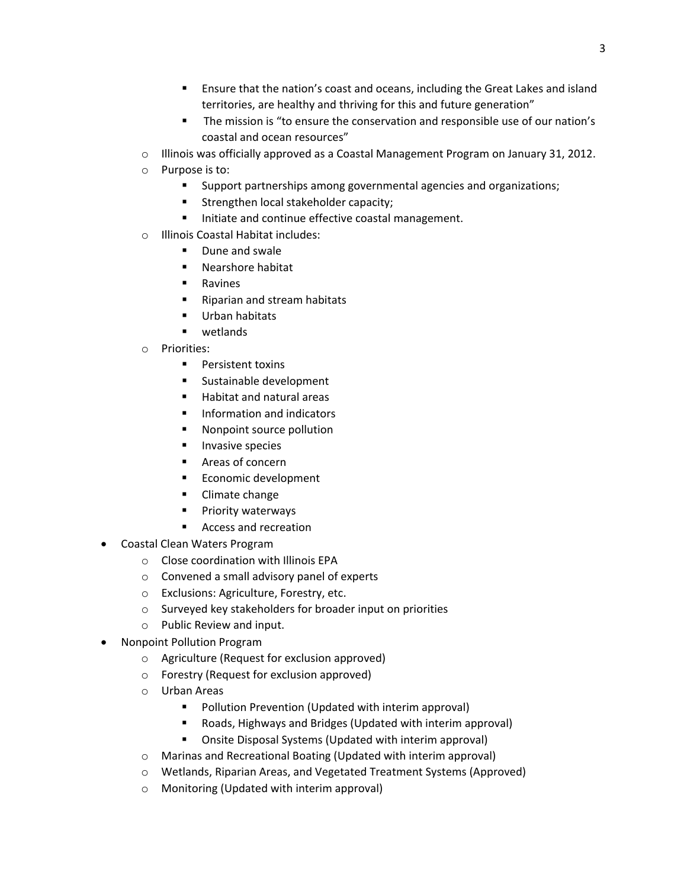- Ensure that the nation's coast and oceans, including the Great Lakes and island territories, are healthy and thriving for this and future generation"
- **The mission is "to ensure the conservation and responsible use of our nation's** coastal and ocean resources"
- $\circ$  Illinois was officially approved as a Coastal Management Program on January 31, 2012.
- o Purpose is to:
	- Support partnerships among governmental agencies and organizations;
	- Strengthen local stakeholder capacity;
	- Initiate and continue effective coastal management.
- o Illinois Coastal Habitat includes:
	- Dune and swale
	- **Nearshore habitat**
	- **Ravines**
	- Riparian and stream habitats
	- Urban habitats
	- **u** wetlands
- o Priorities:
	- **Persistent toxins**
	- **Sustainable development**
	- Habitat and natural areas
	- **Information and indicators**
	- **Nonpoint source pollution**
	- **Invasive species**
	- Areas of concern
	- Economic development
	- **E** Climate change
	- **Priority waterways**
	- Access and recreation
- Coastal Clean Waters Program
	- o Close coordination with Illinois EPA
	- o Convened a small advisory panel of experts
	- o Exclusions: Agriculture, Forestry, etc.
	- o Surveyed key stakeholders for broader input on priorities
	- o Public Review and input.
- Nonpoint Pollution Program
	- o Agriculture (Request for exclusion approved)
	- o Forestry (Request for exclusion approved)
	- o Urban Areas
		- **Pollution Prevention (Updated with interim approval)**
		- Roads, Highways and Bridges (Updated with interim approval)
		- Onsite Disposal Systems (Updated with interim approval)
	- o Marinas and Recreational Boating (Updated with interim approval)
	- o Wetlands, Riparian Areas, and Vegetated Treatment Systems (Approved)
	- o Monitoring (Updated with interim approval)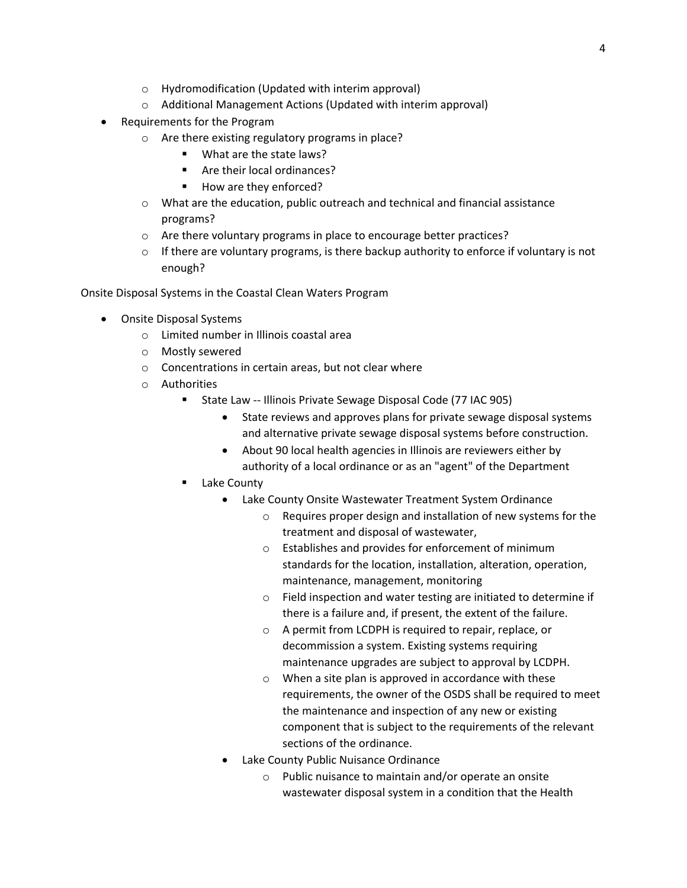- o Hydromodification (Updated with interim approval)
- o Additional Management Actions (Updated with interim approval)
- Requirements for the Program
	- o Are there existing regulatory programs in place?
		- What are the state laws?
		- Are their local ordinances?
		- How are they enforced?
	- o What are the education, public outreach and technical and financial assistance programs?
	- o Are there voluntary programs in place to encourage better practices?
	- $\circ$  If there are voluntary programs, is there backup authority to enforce if voluntary is not enough?

Onsite Disposal Systems in the Coastal Clean Waters Program

- Onsite Disposal Systems
	- o Limited number in Illinois coastal area
	- o Mostly sewered
	- o Concentrations in certain areas, but not clear where
	- o Authorities
		- State Law -- Illinois Private Sewage Disposal Code (77 IAC 905)
			- State reviews and approves plans for private sewage disposal systems and alternative private sewage disposal systems before construction.
			- About 90 local health agencies in Illinois are reviewers either by authority of a local ordinance or as an "agent" of the Department
		- Lake County
			- Lake County Onsite Wastewater Treatment System Ordinance
				- o Requires proper design and installation of new systems for the treatment and disposal of wastewater,
				- o Establishes and provides for enforcement of minimum standards for the location, installation, alteration, operation, maintenance, management, monitoring
				- o Field inspection and water testing are initiated to determine if there is a failure and, if present, the extent of the failure.
				- o A permit from LCDPH is required to repair, replace, or decommission a system. Existing systems requiring maintenance upgrades are subject to approval by LCDPH.
				- o When a site plan is approved in accordance with these requirements, the owner of the OSDS shall be required to meet the maintenance and inspection of any new or existing component that is subject to the requirements of the relevant sections of the ordinance.
			- Lake County Public Nuisance Ordinance
				- o Public nuisance to maintain and/or operate an onsite wastewater disposal system in a condition that the Health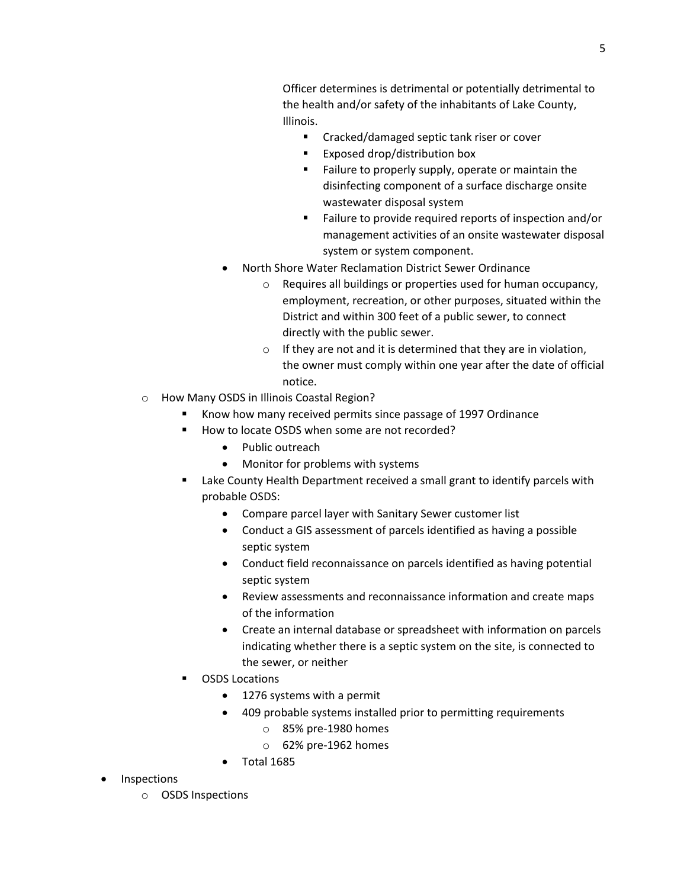Officer determines is detrimental or potentially detrimental to the health and/or safety of the inhabitants of Lake County, Illinois.

- **EXECR** Cracked/damaged septic tank riser or cover
- **Exposed drop/distribution box**
- **Failure to properly supply, operate or maintain the** disinfecting component of a surface discharge onsite wastewater disposal system
- Failure to provide required reports of inspection and/or management activities of an onsite wastewater disposal system or system component.
- North Shore Water Reclamation District Sewer Ordinance
	- o Requires all buildings or properties used for human occupancy, employment, recreation, or other purposes, situated within the District and within 300 feet of a public sewer, to connect directly with the public sewer.
	- $\circ$  If they are not and it is determined that they are in violation, the owner must comply within one year after the date of official notice.
- o How Many OSDS in Illinois Coastal Region?
	- Know how many received permits since passage of 1997 Ordinance
	- How to locate OSDS when some are not recorded?
		- Public outreach
		- Monitor for problems with systems
	- Lake County Health Department received a small grant to identify parcels with probable OSDS:
		- Compare parcel layer with Sanitary Sewer customer list
		- Conduct a GIS assessment of parcels identified as having a possible septic system
		- Conduct field reconnaissance on parcels identified as having potential septic system
		- Review assessments and reconnaissance information and create maps of the information
		- Create an internal database or spreadsheet with information on parcels indicating whether there is a septic system on the site, is connected to the sewer, or neither
	- OSDS Locations
		- 1276 systems with a permit
		- 409 probable systems installed prior to permitting requirements
			- o 85% pre-1980 homes
			- o 62% pre-1962 homes
		- Total 1685
- **Inspections**

o OSDS Inspections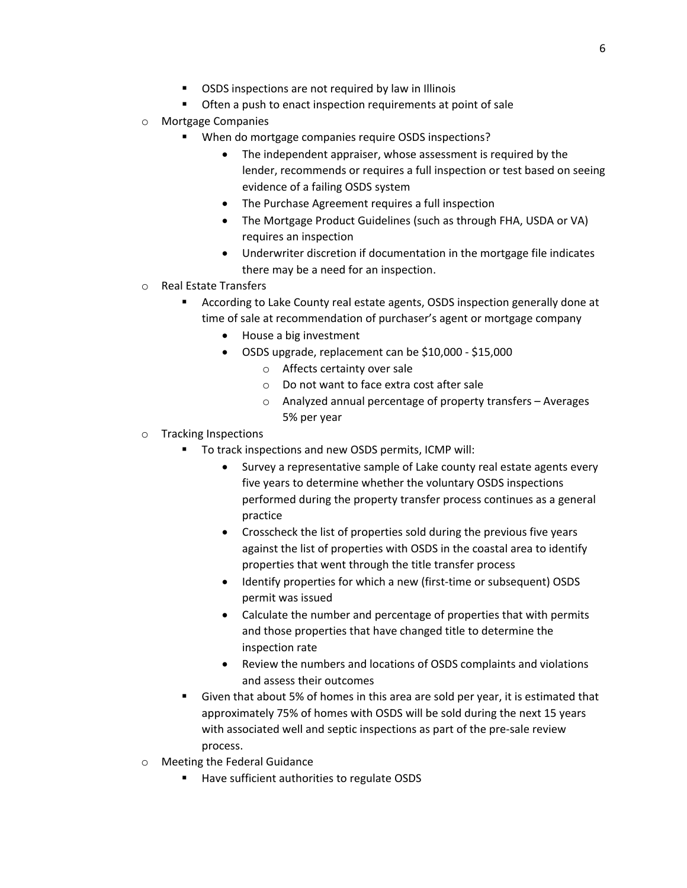- OSDS inspections are not required by law in Illinois
- **•** Often a push to enact inspection requirements at point of sale
- o Mortgage Companies
	- When do mortgage companies require OSDS inspections?
		- The independent appraiser, whose assessment is required by the lender, recommends or requires a full inspection or test based on seeing evidence of a failing OSDS system
		- The Purchase Agreement requires a full inspection
		- The Mortgage Product Guidelines (such as through FHA, USDA or VA) requires an inspection
		- Underwriter discretion if documentation in the mortgage file indicates there may be a need for an inspection.
- o Real Estate Transfers
	- According to Lake County real estate agents, OSDS inspection generally done at time of sale at recommendation of purchaser's agent or mortgage company
		- House a big investment
		- OSDS upgrade, replacement can be \$10,000 \$15,000
			- o Affects certainty over sale
			- o Do not want to face extra cost after sale
			- o Analyzed annual percentage of property transfers Averages 5% per year
- o Tracking Inspections
	- To track inspections and new OSDS permits, ICMP will:
		- Survey a representative sample of Lake county real estate agents every five years to determine whether the voluntary OSDS inspections performed during the property transfer process continues as a general practice
		- Crosscheck the list of properties sold during the previous five years against the list of properties with OSDS in the coastal area to identify properties that went through the title transfer process
		- Identify properties for which a new (first-time or subsequent) OSDS permit was issued
		- Calculate the number and percentage of properties that with permits and those properties that have changed title to determine the inspection rate
		- Review the numbers and locations of OSDS complaints and violations and assess their outcomes
	- Given that about 5% of homes in this area are sold per year, it is estimated that approximately 75% of homes with OSDS will be sold during the next 15 years with associated well and septic inspections as part of the pre-sale review process.
- o Meeting the Federal Guidance
	- Have sufficient authorities to regulate OSDS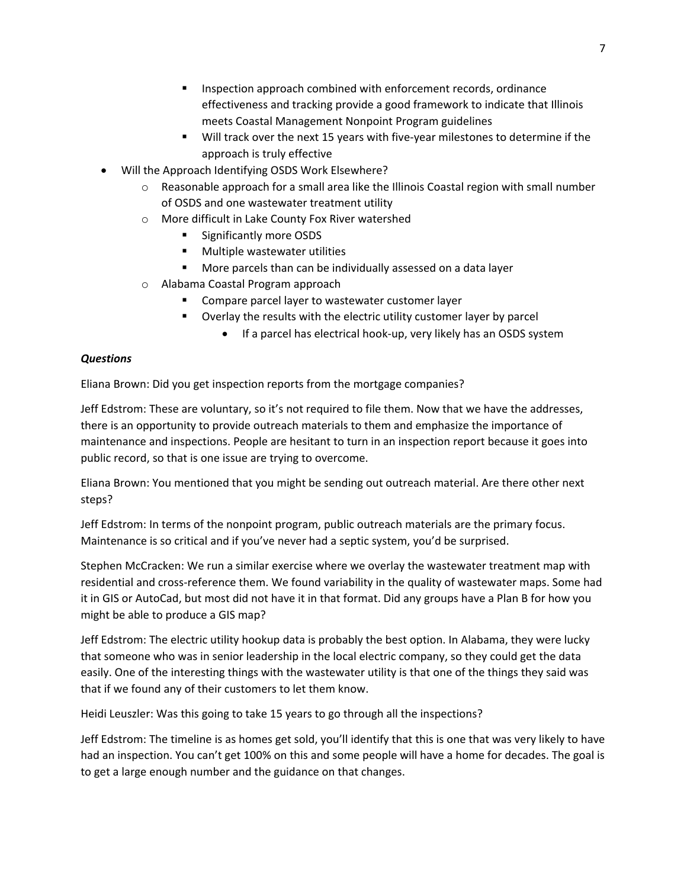- **Inspection approach combined with enforcement records, ordinance** effectiveness and tracking provide a good framework to indicate that Illinois meets Coastal Management Nonpoint Program guidelines
- Will track over the next 15 years with five-year milestones to determine if the approach is truly effective
- Will the Approach Identifying OSDS Work Elsewhere?
	- $\circ$  Reasonable approach for a small area like the Illinois Coastal region with small number of OSDS and one wastewater treatment utility
	- o More difficult in Lake County Fox River watershed
		- Significantly more OSDS
		- **•** Multiple wastewater utilities
		- **More parcels than can be individually assessed on a data layer**
	- o Alabama Coastal Program approach
		- Compare parcel layer to wastewater customer layer
		- Overlay the results with the electric utility customer layer by parcel
			- If a parcel has electrical hook-up, very likely has an OSDS system

#### *Questions*

Eliana Brown: Did you get inspection reports from the mortgage companies?

Jeff Edstrom: These are voluntary, so it's not required to file them. Now that we have the addresses, there is an opportunity to provide outreach materials to them and emphasize the importance of maintenance and inspections. People are hesitant to turn in an inspection report because it goes into public record, so that is one issue are trying to overcome.

Eliana Brown: You mentioned that you might be sending out outreach material. Are there other next steps?

Jeff Edstrom: In terms of the nonpoint program, public outreach materials are the primary focus. Maintenance is so critical and if you've never had a septic system, you'd be surprised.

Stephen McCracken: We run a similar exercise where we overlay the wastewater treatment map with residential and cross-reference them. We found variability in the quality of wastewater maps. Some had it in GIS or AutoCad, but most did not have it in that format. Did any groups have a Plan B for how you might be able to produce a GIS map?

Jeff Edstrom: The electric utility hookup data is probably the best option. In Alabama, they were lucky that someone who was in senior leadership in the local electric company, so they could get the data easily. One of the interesting things with the wastewater utility is that one of the things they said was that if we found any of their customers to let them know.

Heidi Leuszler: Was this going to take 15 years to go through all the inspections?

Jeff Edstrom: The timeline is as homes get sold, you'll identify that this is one that was very likely to have had an inspection. You can't get 100% on this and some people will have a home for decades. The goal is to get a large enough number and the guidance on that changes.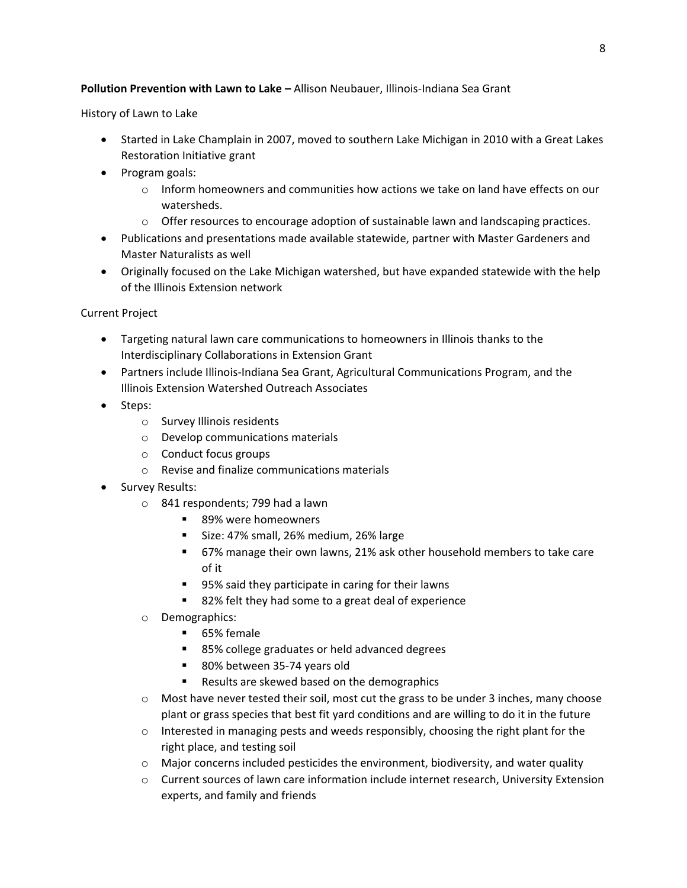# **Pollution Prevention with Lawn to Lake –** Allison Neubauer, Illinois-Indiana Sea Grant

History of Lawn to Lake

- Started in Lake Champlain in 2007, moved to southern Lake Michigan in 2010 with a Great Lakes Restoration Initiative grant
- Program goals:
	- $\circ$  Inform homeowners and communities how actions we take on land have effects on our watersheds.
	- o Offer resources to encourage adoption of sustainable lawn and landscaping practices.
- Publications and presentations made available statewide, partner with Master Gardeners and Master Naturalists as well
- Originally focused on the Lake Michigan watershed, but have expanded statewide with the help of the Illinois Extension network

# Current Project

- Targeting natural lawn care communications to homeowners in Illinois thanks to the Interdisciplinary Collaborations in Extension Grant
- Partners include Illinois-Indiana Sea Grant, Agricultural Communications Program, and the Illinois Extension Watershed Outreach Associates
- Steps:
	- o Survey Illinois residents
	- o Develop communications materials
	- o Conduct focus groups
	- o Revise and finalize communications materials
- Survey Results:
	- o 841 respondents; 799 had a lawn
		- 89% were homeowners
		- Size: 47% small, 26% medium, 26% large
		- 67% manage their own lawns, 21% ask other household members to take care of it
		- 95% said they participate in caring for their lawns
		- 82% felt they had some to a great deal of experience
	- o Demographics:
		- 65% female
		- 85% college graduates or held advanced degrees
		- 80% between 35-74 years old
		- Results are skewed based on the demographics
	- $\circ$  Most have never tested their soil, most cut the grass to be under 3 inches, many choose plant or grass species that best fit yard conditions and are willing to do it in the future
	- o Interested in managing pests and weeds responsibly, choosing the right plant for the right place, and testing soil
	- $\circ$  Major concerns included pesticides the environment, biodiversity, and water quality
	- o Current sources of lawn care information include internet research, University Extension experts, and family and friends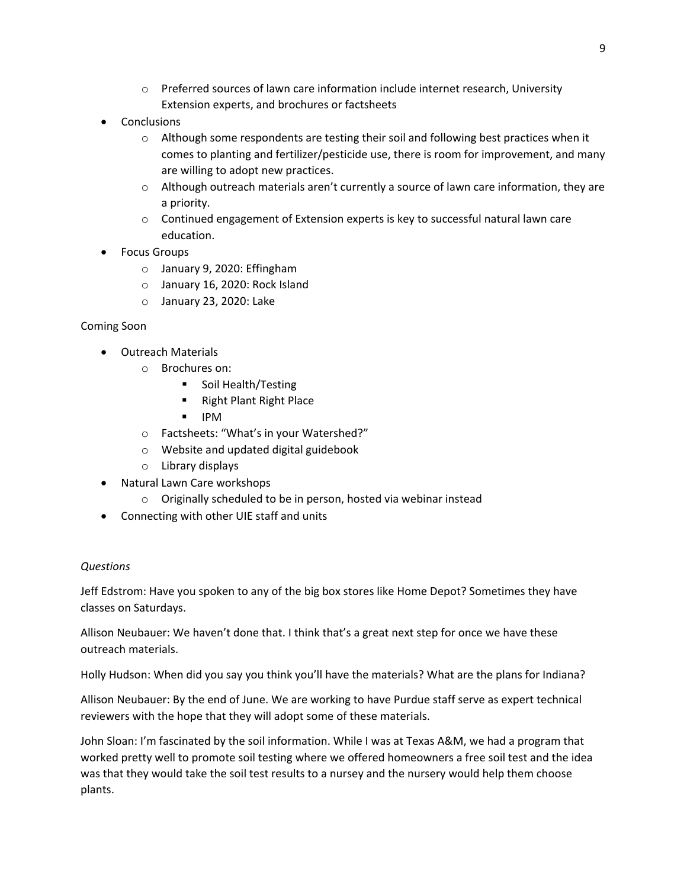- o Preferred sources of lawn care information include internet research, University Extension experts, and brochures or factsheets
- **Conclusions** 
	- $\circ$  Although some respondents are testing their soil and following best practices when it comes to planting and fertilizer/pesticide use, there is room for improvement, and many are willing to adopt new practices.
	- o Although outreach materials aren't currently a source of lawn care information, they are a priority.
	- $\circ$  Continued engagement of Extension experts is key to successful natural lawn care education.
- Focus Groups
	- o January 9, 2020: Effingham
	- o January 16, 2020: Rock Island
	- o January 23, 2020: Lake

# Coming Soon

- Outreach Materials
	- o Brochures on:
		- **Soil Health/Testing**
		- Right Plant Right Place
		- $\blacksquare$  IPM
	- o Factsheets: "What's in your Watershed?"
	- o Website and updated digital guidebook
	- o Library displays
- Natural Lawn Care workshops
	- o Originally scheduled to be in person, hosted via webinar instead
- Connecting with other UIE staff and units

# *Questions*

Jeff Edstrom: Have you spoken to any of the big box stores like Home Depot? Sometimes they have classes on Saturdays.

Allison Neubauer: We haven't done that. I think that's a great next step for once we have these outreach materials.

Holly Hudson: When did you say you think you'll have the materials? What are the plans for Indiana?

Allison Neubauer: By the end of June. We are working to have Purdue staff serve as expert technical reviewers with the hope that they will adopt some of these materials.

John Sloan: I'm fascinated by the soil information. While I was at Texas A&M, we had a program that worked pretty well to promote soil testing where we offered homeowners a free soil test and the idea was that they would take the soil test results to a nursey and the nursery would help them choose plants.